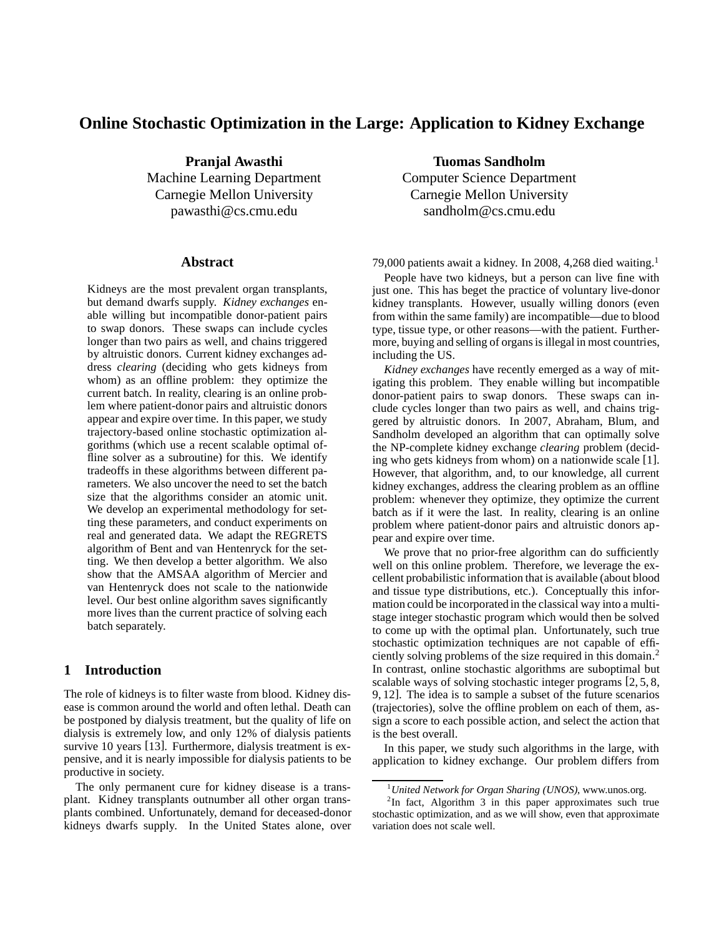# **Online Stochastic Optimization in the Large: Application to Kidney Exchange**

**Pranjal Awasthi** Machine Learning Department Carnegie Mellon University pawasthi@cs.cmu.edu

### **Abstract**

Kidneys are the most prevalent organ transplants, but demand dwarfs supply. *Kidney exchanges* enable willing but incompatible donor-patient pairs to swap donors. These swaps can include cycles longer than two pairs as well, and chains triggered by altruistic donors. Current kidney exchanges address *clearing* (deciding who gets kidneys from whom) as an offline problem: they optimize the current batch. In reality, clearing is an online problem where patient-donor pairs and altruistic donors appear and expire over time. In this paper, we study trajectory-based online stochastic optimization algorithms (which use a recent scalable optimal offline solver as a subroutine) for this. We identify tradeoffs in these algorithms between different parameters. We also uncover the need to set the batch size that the algorithms consider an atomic unit. We develop an experimental methodology for setting these parameters, and conduct experiments on real and generated data. We adapt the REGRETS algorithm of Bent and van Hentenryck for the setting. We then develop a better algorithm. We also show that the AMSAA algorithm of Mercier and van Hentenryck does not scale to the nationwide level. Our best online algorithm saves significantly more lives than the current practice of solving each batch separately.

## **1 Introduction**

The role of kidneys is to filter waste from blood. Kidney disease is common around the world and often lethal. Death can be postponed by dialysis treatment, but the quality of life on dialysis is extremely low, and only 12% of dialysis patients survive 10 years [13]. Furthermore, dialysis treatment is expensive, and it is nearly impossible for dialysis patients to be productive in society.

The only permanent cure for kidney disease is a transplant. Kidney transplants outnumber all other organ transplants combined. Unfortunately, demand for deceased-donor kidneys dwarfs supply. In the United States alone, over

**Tuomas Sandholm** Computer Science Department Carnegie Mellon University sandholm@cs.cmu.edu

79,000 patients await a kidney. In 2008, 4,268 died waiting.<sup>1</sup>

People have two kidneys, but a person can live fine with just one. This has beget the practice of voluntary live-donor kidney transplants. However, usually willing donors (even from within the same family) are incompatible—due to blood type, tissue type, or other reasons—with the patient. Furthermore, buying and selling of organs is illegal in most countries, including the US.

*Kidney exchanges* have recently emerged as a way of mitigating this problem. They enable willing but incompatible donor-patient pairs to swap donors. These swaps can include cycles longer than two pairs as well, and chains triggered by altruistic donors. In 2007, Abraham, Blum, and Sandholm developed an algorithm that can optimally solve the NP-complete kidney exchange *clearing* problem (deciding who gets kidneys from whom) on a nationwide scale [1]. However, that algorithm, and, to our knowledge, all current kidney exchanges, address the clearing problem as an offline problem: whenever they optimize, they optimize the current batch as if it were the last. In reality, clearing is an online problem where patient-donor pairs and altruistic donors appear and expire over time.

We prove that no prior-free algorithm can do sufficiently well on this online problem. Therefore, we leverage the excellent probabilistic information that is available (about blood and tissue type distributions, etc.). Conceptually this information could be incorporated in the classical way into a multistage integer stochastic program which would then be solved to come up with the optimal plan. Unfortunately, such true stochastic optimization techniques are not capable of efficiently solving problems of the size required in this domain. 2 In contrast, online stochastic algorithms are suboptimal but scalable ways of solving stochastic integer programs [2, 5, 8, 9, 12]. The idea is to sample a subset of the future scenarios (trajectories), solve the offline problem on each of them, assign a score to each possible action, and select the action that is the best overall.

In this paper, we study such algorithms in the large, with application to kidney exchange. Our problem differs from

<sup>1</sup>*United Network for Organ Sharing (UNOS)*, www.unos.org.

 ${}^{2}$ In fact, Algorithm 3 in this paper approximates such true stochastic optimization, and as we will show, even that approximate variation does not scale well.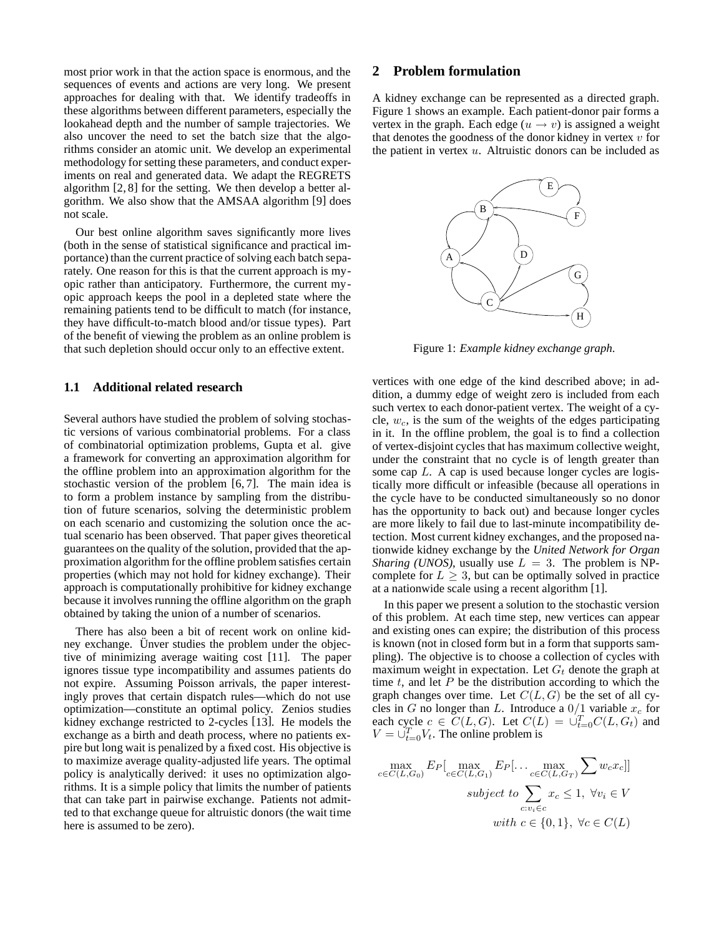most prior work in that the action space is enormous, and the sequences of events and actions are very long. We present approaches for dealing with that. We identify tradeoffs in these algorithms between different parameters, especially the lookahead depth and the number of sample trajectories. We also uncover the need to set the batch size that the algorithms consider an atomic unit. We develop an experimental methodology for setting these parameters, and conduct experiments on real and generated data. We adapt the REGRETS algorithm [2, 8] for the setting. We then develop a better algorithm. We also show that the AMSAA algorithm [9] does not scale.

Our best online algorithm saves significantly more lives (both in the sense of statistical significance and practical importance) than the current practice of solving each batch separately. One reason for this is that the current approach is myopic rather than anticipatory. Furthermore, the current myopic approach keeps the pool in a depleted state where the remaining patients tend to be difficult to match (for instance, they have difficult-to-match blood and/or tissue types). Part of the benefit of viewing the problem as an online problem is that such depletion should occur only to an effective extent.

### **1.1 Additional related research**

Several authors have studied the problem of solving stochastic versions of various combinatorial problems. For a class of combinatorial optimization problems, Gupta et al. give a framework for converting an approximation algorithm for the offline problem into an approximation algorithm for the stochastic version of the problem [6, 7]. The main idea is to form a problem instance by sampling from the distribution of future scenarios, solving the deterministic problem on each scenario and customizing the solution once the actual scenario has been observed. That paper gives theoretical guarantees on the quality of the solution, provided that the approximation algorithm for the offline problem satisfies certain properties (which may not hold for kidney exchange). Their approach is computationally prohibitive for kidney exchange because it involves running the offline algorithm on the graph obtained by taking the union of a number of scenarios.

There has also been a bit of recent work on online kidney exchange. Unver studies the problem under the objective of minimizing average waiting cost [11]. The paper ignores tissue type incompatibility and assumes patients do not expire. Assuming Poisson arrivals, the paper interestingly proves that certain dispatch rules—which do not use optimization—constitute an optimal policy. Zenios studies kidney exchange restricted to 2-cycles [13]. He models the exchange as a birth and death process, where no patients expire but long wait is penalized by a fixed cost. His objective is to maximize average quality-adjusted life years. The optimal policy is analytically derived: it uses no optimization algorithms. It is a simple policy that limits the number of patients that can take part in pairwise exchange. Patients not admitted to that exchange queue for altruistic donors (the wait time here is assumed to be zero).

### **2 Problem formulation**

A kidney exchange can be represented as a directed graph. Figure 1 shows an example. Each patient-donor pair forms a vertex in the graph. Each edge ( $u \rightarrow v$ ) is assigned a weight that denotes the goodness of the donor kidney in vertex  $v$  for the patient in vertex  $u$ . Altruistic donors can be included as



Figure 1: *Example kidney exchange graph.*

vertices with one edge of the kind described above; in addition, a dummy edge of weight zero is included from each such vertex to each donor-patient vertex. The weight of a cycle,  $w_c$ , is the sum of the weights of the edges participating in it. In the offline problem, the goal is to find a collection of vertex-disjoint cycles that has maximum collective weight, under the constraint that no cycle is of length greater than some cap L. A cap is used because longer cycles are logistically more difficult or infeasible (because all operations in the cycle have to be conducted simultaneously so no donor has the opportunity to back out) and because longer cycles are more likely to fail due to last-minute incompatibility detection. Most current kidney exchanges, and the proposed nationwide kidney exchange by the *United Network for Organ Sharing (UNOS)*, usually use  $L = 3$ . The problem is NPcomplete for  $L \geq 3$ , but can be optimally solved in practice at a nationwide scale using a recent algorithm [1].

In this paper we present a solution to the stochastic version of this problem. At each time step, new vertices can appear and existing ones can expire; the distribution of this process is known (not in closed form but in a form that supports sampling). The objective is to choose a collection of cycles with maximum weight in expectation. Let  $G_t$  denote the graph at time  $t$ , and let  $P$  be the distribution according to which the graph changes over time. Let  $C(L, G)$  be the set of all cycles in G no longer than L. Introduce a  $0/1$  variable  $x_c$  for each cycle  $c \in C(L, G)$ . Let  $C(L) = \bigcup_{t=0}^{T} C(L, G_t)$  and  $V = \bigcup_{t=0}^{T} V_t$ . The online problem is

$$
\max_{c \in C(L,G_0)} E_P[\max_{c \in C(L,G_1)} E_P[\dots \max_{c \in C(L,G_T)} \sum w_c x_c]]
$$
  
subject to 
$$
\sum_{c:v_i \in c} x_c \le 1, \ \forall v_i \in V
$$
  
with  $c \in \{0,1\}, \ \forall c \in C(L)$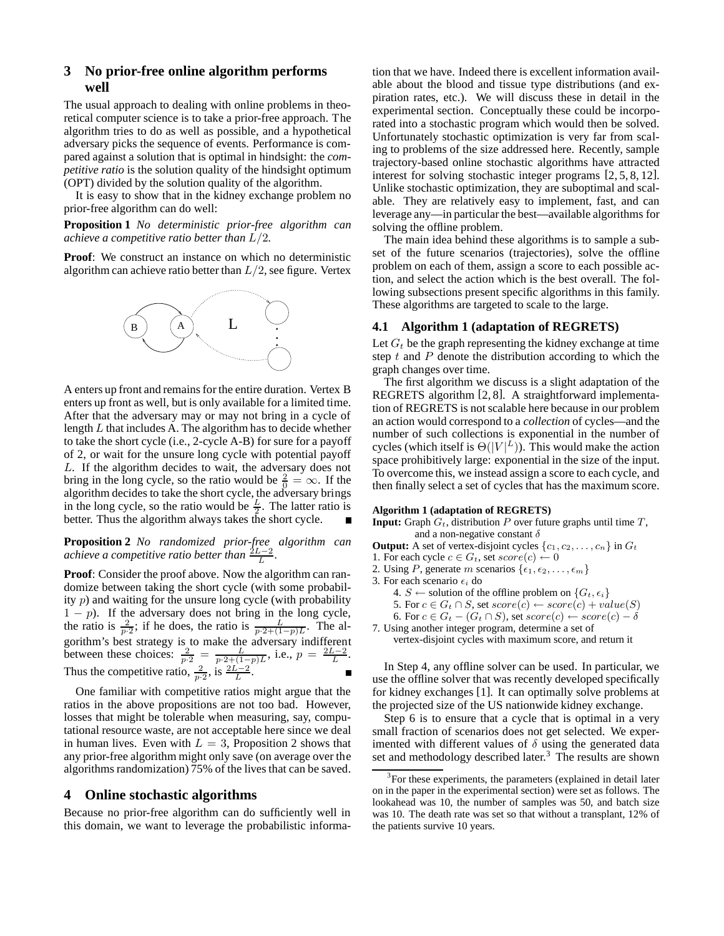## **3 No prior-free online algorithm performs well**

The usual approach to dealing with online problems in theoretical computer science is to take a prior-free approach. The algorithm tries to do as well as possible, and a hypothetical adversary picks the sequence of events. Performance is compared against a solution that is optimal in hindsight: the *competitive ratio* is the solution quality of the hindsight optimum (OPT) divided by the solution quality of the algorithm.

It is easy to show that in the kidney exchange problem no prior-free algorithm can do well:

**Proposition 1** *No deterministic prior-free algorithm can achieve a competitive ratio better than* L/2*.*

**Proof**: We construct an instance on which no deterministic algorithm can achieve ratio better than  $L/2$ , see figure. Vertex



A enters up front and remains for the entire duration. Vertex B enters up front as well, but is only available for a limited time. After that the adversary may or may not bring in a cycle of length  $L$  that includes A. The algorithm has to decide whether to take the short cycle (i.e., 2-cycle A-B) for sure for a payoff of 2, or wait for the unsure long cycle with potential payoff L. If the algorithm decides to wait, the adversary does not bring in the long cycle, so the ratio would be  $\frac{2}{0} = \infty$ . If the algorithm decides to take the short cycle, the adversary brings in the long cycle, so the ratio would be  $\frac{L}{2}$ . The latter ratio is better. Thus the algorithm always takes the short cycle.

**Proposition 2** *No randomized prior-free algorithm can achieve a competitive ratio better than*  $\frac{2L-2}{L}$ *.* 

**Proof:** Consider the proof above. Now the algorithm can randomize between taking the short cycle (with some probability  $p$ ) and waiting for the unsure long cycle (with probability  $1 - p$ ). If the adversary does not bring in the long cycle, the ratio is  $\frac{2}{p\cdot 2}$ ; if he does, the ratio is  $\frac{L}{p\cdot 2+(1-p)L}$ . The algorithm's best strategy is to make the adversary indifferent between these choices:  $\frac{2}{p \cdot 2} = \frac{L}{p \cdot 2 + (1-p)L}$ , i.e.,  $p = \frac{2L-2}{L}$ . Thus the competitive ratio,  $\frac{2}{p \cdot 2}$ , is  $\frac{2L-2}{L}$ .

One familiar with competitive ratios might argue that the ratios in the above propositions are not too bad. However, losses that might be tolerable when measuring, say, computational resource waste, are not acceptable here since we deal in human lives. Even with  $L = 3$ , Proposition 2 shows that any prior-free algorithm might only save (on average over the algorithms randomization) 75% of the lives that can be saved.

#### **4 Online stochastic algorithms**

Because no prior-free algorithm can do sufficiently well in this domain, we want to leverage the probabilistic information that we have. Indeed there is excellent information available about the blood and tissue type distributions (and expiration rates, etc.). We will discuss these in detail in the experimental section. Conceptually these could be incorporated into a stochastic program which would then be solved. Unfortunately stochastic optimization is very far from scaling to problems of the size addressed here. Recently, sample trajectory-based online stochastic algorithms have attracted interest for solving stochastic integer programs [2, 5, 8, 12]. Unlike stochastic optimization, they are suboptimal and scalable. They are relatively easy to implement, fast, and can leverage any—in particular the best—available algorithms for solving the offline problem.

The main idea behind these algorithms is to sample a subset of the future scenarios (trajectories), solve the offline problem on each of them, assign a score to each possible action, and select the action which is the best overall. The following subsections present specific algorithms in this family. These algorithms are targeted to scale to the large.

#### **4.1 Algorithm 1 (adaptation of REGRETS)**

Let  $G_t$  be the graph representing the kidney exchange at time step  $t$  and  $P$  denote the distribution according to which the graph changes over time.

The first algorithm we discuss is a slight adaptation of the REGRETS algorithm [2, 8]. A straightforward implementation of REGRETS is not scalable here because in our problem an action would correspond to a *collection* of cycles—and the number of such collections is exponential in the number of cycles (which itself is  $\Theta(|V|^L)$ ). This would make the action space prohibitively large: exponential in the size of the input. To overcome this, we instead assign a score to each cycle, and then finally select a set of cycles that has the maximum score.

#### **Algorithm 1 (adaptation of REGRETS)**

- **Input:** Graph  $G_t$ , distribution P over future graphs until time  $T$ , and a non-negative constant  $\delta$
- **Output:** A set of vertex-disjoint cycles  $\{c_1, c_2, \ldots, c_n\}$  in  $G_t$
- 1. For each cycle  $c \in G_t$ , set  $score(c) \leftarrow 0$
- 2. Using P, generate m scenarios  $\{\epsilon_1, \epsilon_2, \ldots, \epsilon_m\}$

3. For each scenario  $\epsilon_i$  do

- 4.  $S \leftarrow$  solution of the offline problem on  $\{G_t, \epsilon_i\}$
- 5. For  $c \in G_t \cap S$ , set  $score(c) \leftarrow score(c) + value(S)$
- 6. For  $c \in G_t (G_t \cap S)$ , set  $score(c) \leftarrow score(c) \delta$

7. Using another integer program, determine a set of vertex-disjoint cycles with maximum score, and return it

In Step 4, any offline solver can be used. In particular, we use the offline solver that was recently developed specifically for kidney exchanges [1]. It can optimally solve problems at the projected size of the US nationwide kidney exchange.

Step 6 is to ensure that a cycle that is optimal in a very small fraction of scenarios does not get selected. We experimented with different values of  $\delta$  using the generated data set and methodology described later.<sup>3</sup> The results are shown

<sup>&</sup>lt;sup>3</sup>For these experiments, the parameters (explained in detail later on in the paper in the experimental section) were set as follows. The lookahead was 10, the number of samples was 50, and batch size was 10. The death rate was set so that without a transplant, 12% of the patients survive 10 years.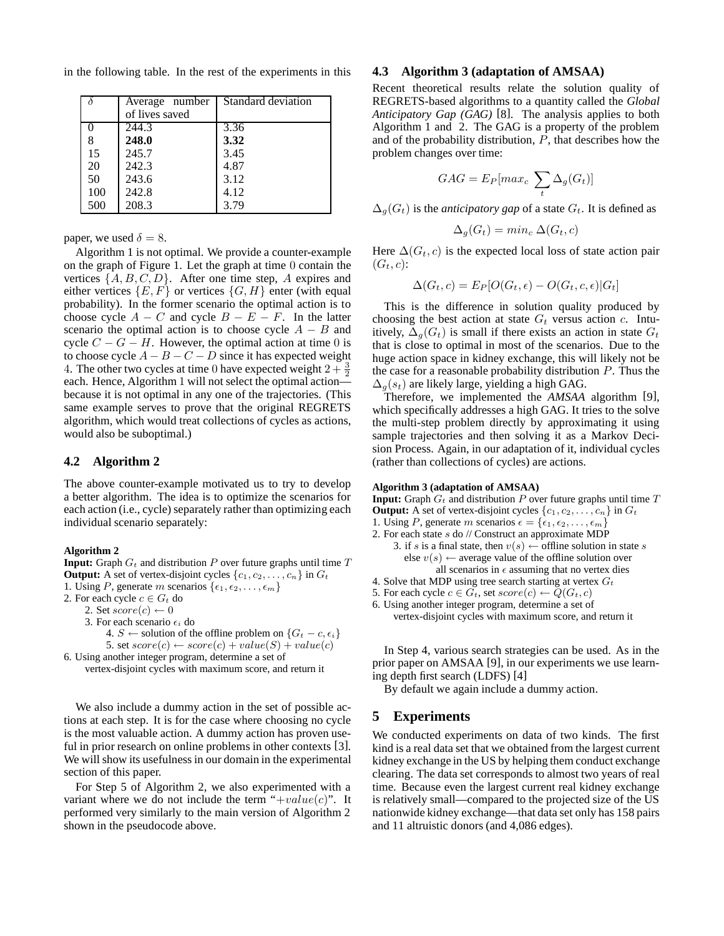in the following table. In the rest of the experiments in this

|     | Average number | Standard deviation |
|-----|----------------|--------------------|
|     | of lives saved |                    |
|     | 244.3          | 3.36               |
|     | 248.0          | 3.32               |
| 15  | 245.7          | 3.45               |
| 20  | 242.3          | 4.87               |
| 50  | 243.6          | 3.12               |
| 100 | 242.8          | 4.12               |
| 500 | 208.3          | 3.79               |

paper, we used  $\delta = 8$ .

Algorithm 1 is not optimal. We provide a counter-example on the graph of Figure 1. Let the graph at time 0 contain the vertices  $\{A, B, C, D\}$ . After one time step, A expires and either vertices  $\{E, F\}$  or vertices  $\{G, H\}$  enter (with equal probability). In the former scenario the optimal action is to choose cycle  $A - C$  and cycle  $B - E - F$ . In the latter scenario the optimal action is to choose cycle  $A - B$  and cycle  $C - G - H$ . However, the optimal action at time 0 is to choose cycle  $A - B - C - D$  since it has expected weight 4. The other two cycles at time 0 have expected weight  $2 + \frac{3}{2}$ each. Hence, Algorithm 1 will not select the optimal action because it is not optimal in any one of the trajectories. (This same example serves to prove that the original REGRETS algorithm, which would treat collections of cycles as actions, would also be suboptimal.)

### **4.2 Algorithm 2**

The above counter-example motivated us to try to develop a better algorithm. The idea is to optimize the scenarios for each action (i.e., cycle) separately rather than optimizing each individual scenario separately:

#### **Algorithm 2**

**Input:** Graph  $G_t$  and distribution P over future graphs until time  $T$ **Output:** A set of vertex-disjoint cycles  $\{c_1, c_2, \ldots, c_n\}$  in  $G_t$ 

1. Using P, generate m scenarios  $\{\epsilon_1, \epsilon_2, \ldots, \epsilon_m\}$ 

2. For each cycle  $c \in G_t$  do

2. Set  $score(c) \leftarrow 0$ 

```
3. For each scenario \epsilon_i do
```

```
4. S ← solution of the offline problem on \{G_t - c, \epsilon_i\}5. set score(c) \leftarrow score(c) + value(S) + value(c)
```
6. Using another integer program, determine a set of vertex-disjoint cycles with maximum score, and return it

We also include a dummy action in the set of possible actions at each step. It is for the case where choosing no cycle is the most valuable action. A dummy action has proven useful in prior research on online problems in other contexts [3]. We will show its usefulness in our domain in the experimental section of this paper.

For Step 5 of Algorithm 2, we also experimented with a variant where we do not include the term " $+value(c)$ ". It performed very similarly to the main version of Algorithm 2 shown in the pseudocode above.

#### **4.3 Algorithm 3 (adaptation of AMSAA)**

Recent theoretical results relate the solution quality of REGRETS-based algorithms to a quantity called the *Global Anticipatory Gap (GAG)* [8]. The analysis applies to both Algorithm 1 and 2. The GAG is a property of the problem and of the probability distribution, P, that describes how the problem changes over time:

$$
GAG = E_P[max_c \sum_t \Delta_g(G_t)]
$$

 $\Delta_q(G_t)$  is the *anticipatory gap* of a state  $G_t$ . It is defined as

$$
\Delta_g(G_t) = \min_c \Delta(G_t, c)
$$

Here  $\Delta(G_t, c)$  is the expected local loss of state action pair  $(G_t, c)$ :

$$
\Delta(G_t, c) = E_P[O(G_t, \epsilon) - O(G_t, c, \epsilon)|G_t]
$$

This is the difference in solution quality produced by choosing the best action at state  $G_t$  versus action c. Intuitively,  $\Delta_q(G_t)$  is small if there exists an action in state  $G_t$ that is close to optimal in most of the scenarios. Due to the huge action space in kidney exchange, this will likely not be the case for a reasonable probability distribution  $P$ . Thus the  $\Delta_q(s_t)$  are likely large, yielding a high GAG.

Therefore, we implemented the *AMSAA* algorithm [9], which specifically addresses a high GAG. It tries to the solve the multi-step problem directly by approximating it using sample trajectories and then solving it as a Markov Decision Process. Again, in our adaptation of it, individual cycles (rather than collections of cycles) are actions.

#### **Algorithm 3 (adaptation of AMSAA)**

**Input:** Graph  $G_t$  and distribution P over future graphs until time  $T$ **Output:** A set of vertex-disjoint cycles  $\{c_1, c_2, \ldots, c_n\}$  in  $G_t$ 1. Using P, generate m scenarios  $\epsilon = {\epsilon_1, \epsilon_2, \ldots, \epsilon_m}$ 

- 2. For each state s do // Construct an approximate MDP
	- 3. if s is a final state, then  $v(s) \leftarrow$  offline solution in state s else  $v(s) \leftarrow$  average value of the offline solution over all scenarios in  $\epsilon$  assuming that no vertex dies
- 4. Solve that MDP using tree search starting at vertex  $G_t$
- 5. For each cycle  $c \in G_t$ , set  $score(c) \leftarrow Q(G_t, c)$
- 6. Using another integer program, determine a set of vertex-disjoint cycles with maximum score, and return it

In Step 4, various search strategies can be used. As in the prior paper on AMSAA [9], in our experiments we use learning depth first search (LDFS) [4]

By default we again include a dummy action.

### **5 Experiments**

We conducted experiments on data of two kinds. The first kind is a real data set that we obtained from the largest current kidney exchange in the US by helping them conduct exchange clearing. The data set corresponds to almost two years of real time. Because even the largest current real kidney exchange is relatively small—compared to the projected size of the US nationwide kidney exchange—that data set only has 158 pairs and 11 altruistic donors (and 4,086 edges).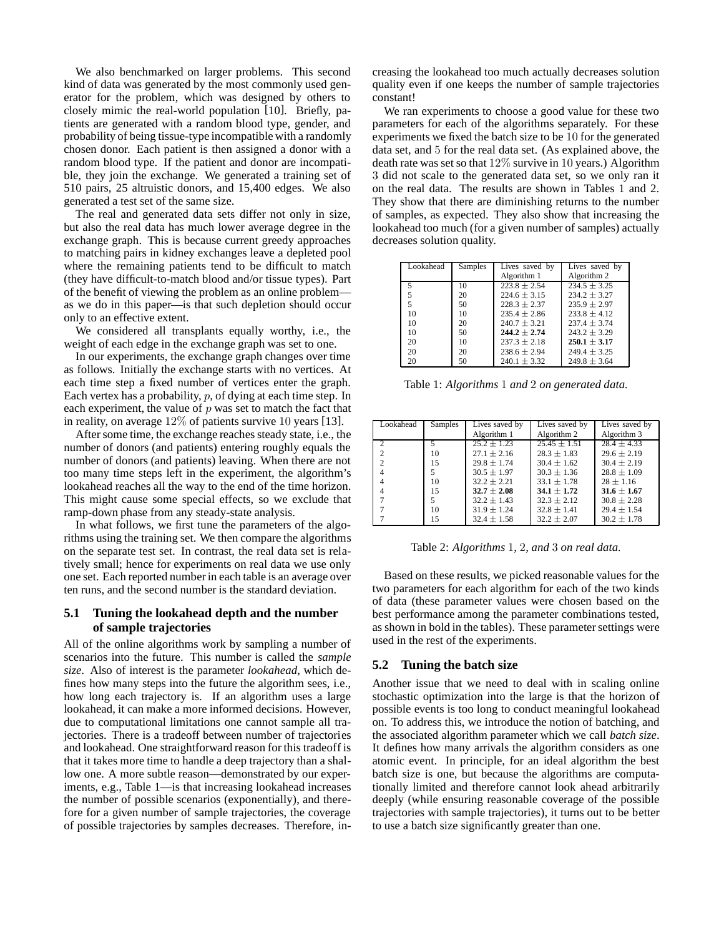We also benchmarked on larger problems. This second kind of data was generated by the most commonly used generator for the problem, which was designed by others to closely mimic the real-world population [10]. Briefly, patients are generated with a random blood type, gender, and probability of being tissue-type incompatible with a randomly chosen donor. Each patient is then assigned a donor with a random blood type. If the patient and donor are incompatible, they join the exchange. We generated a training set of 510 pairs, 25 altruistic donors, and 15,400 edges. We also generated a test set of the same size.

The real and generated data sets differ not only in size, but also the real data has much lower average degree in the exchange graph. This is because current greedy approaches to matching pairs in kidney exchanges leave a depleted pool where the remaining patients tend to be difficult to match (they have difficult-to-match blood and/or tissue types). Part of the benefit of viewing the problem as an online problem as we do in this paper—is that such depletion should occur only to an effective extent.

We considered all transplants equally worthy, i.e., the weight of each edge in the exchange graph was set to one.

In our experiments, the exchange graph changes over time as follows. Initially the exchange starts with no vertices. At each time step a fixed number of vertices enter the graph. Each vertex has a probability,  $p$ , of dying at each time step. In each experiment, the value of  $p$  was set to match the fact that in reality, on average 12% of patients survive 10 years [13].

After some time, the exchange reaches steady state, i.e., the number of donors (and patients) entering roughly equals the number of donors (and patients) leaving. When there are not too many time steps left in the experiment, the algorithm's lookahead reaches all the way to the end of the time horizon. This might cause some special effects, so we exclude that ramp-down phase from any steady-state analysis.

In what follows, we first tune the parameters of the algorithms using the training set. We then compare the algorithms on the separate test set. In contrast, the real data set is relatively small; hence for experiments on real data we use only one set. Each reported number in each table is an average over ten runs, and the second number is the standard deviation.

### **5.1 Tuning the lookahead depth and the number of sample trajectories**

All of the online algorithms work by sampling a number of scenarios into the future. This number is called the *sample size*. Also of interest is the parameter *lookahead*, which defines how many steps into the future the algorithm sees, i.e., how long each trajectory is. If an algorithm uses a large lookahead, it can make a more informed decisions. However, due to computational limitations one cannot sample all trajectories. There is a tradeoff between number of trajectories and lookahead. One straightforward reason for this tradeoff is that it takes more time to handle a deep trajectory than a shallow one. A more subtle reason—demonstrated by our experiments, e.g., Table 1—is that increasing lookahead increases the number of possible scenarios (exponentially), and therefore for a given number of sample trajectories, the coverage of possible trajectories by samples decreases. Therefore, increasing the lookahead too much actually decreases solution quality even if one keeps the number of sample trajectories constant!

We ran experiments to choose a good value for these two parameters for each of the algorithms separately. For these experiments we fixed the batch size to be 10 for the generated data set, and 5 for the real data set. (As explained above, the death rate was set so that 12% survive in 10 years.) Algorithm 3 did not scale to the generated data set, so we only ran it on the real data. The results are shown in Tables 1 and 2. They show that there are diminishing returns to the number of samples, as expected. They also show that increasing the lookahead too much (for a given number of samples) actually decreases solution quality.

| Lookahead | Samples | Lives saved by   | Lives saved by   |
|-----------|---------|------------------|------------------|
|           |         | Algorithm 1      | Algorithm 2      |
| 5         | 10      | $223.8 + 2.54$   | $234.5 \pm 3.25$ |
| 5         | 20      | $224.6 + 3.15$   | $234.2 + 3.27$   |
| 5         | 50      | $228.3 + 2.37$   | $235.9 + 2.97$   |
| 10        | 10      | $235.4 + 2.86$   | $233.8 + 4.12$   |
| 10        | 20      | $240.7 \pm 3.21$ | $237.4 + 3.74$   |
| 10        | 50      | $244.2 \pm 2.74$ | $243.2 + 3.29$   |
| 20        | 10      | $237.3 + 2.18$   | $250.1 \pm 3.17$ |
| 20        | 20      | $238.6 + 2.94$   | $249.4 + 3.25$   |
| 20        | 50      | $240.1 \pm 3.32$ | $249.8 \pm 3.64$ |

Table 1: *Algorithms* 1 *and* 2 *on generated data.*

| Lookahead      | Samples | Lives saved by  | Lives saved by  | Lives saved by  |
|----------------|---------|-----------------|-----------------|-----------------|
|                |         | Algorithm 1     | Algorithm 2     | Algorithm 3     |
|                | 5       | $25.2 + 1.23$   | $25.45 + 1.51$  | $28.4 + 4.33$   |
| $\mathfrak{D}$ | 10      | $27.1 \pm 2.16$ | $28.3 \pm 1.83$ | $29.6 \pm 2.19$ |
| $\mathfrak{D}$ | 15      | $29.8 + 1.74$   | $30.4 \pm 1.62$ | $30.4 \pm 2.19$ |
| 4              | 5       | $30.5 \pm 1.97$ | $30.3 \pm 1.36$ | $28.8 + 1.09$   |
|                | 10      | $32.2 + 2.21$   | $33.1 + 1.78$   | $28 + 1.16$     |
|                | 15      | $32.7 \pm 2.08$ | $34.1 \pm 1.72$ | $31.6 \pm 1.67$ |
|                | 5       | $32.2 \pm 1.43$ | $32.3 + 2.12$   | $30.8 \pm 2.28$ |
|                | 10      | $31.9 \pm 1.24$ | $32.8 \pm 1.41$ | $29.4 \pm 1.54$ |
|                | 15      | $32.4 \pm 1.58$ | $32.2 \pm 2.07$ | $30.2 \pm 1.78$ |

Table 2: *Algorithms* 1*,* 2*, and* 3 *on real data.*

Based on these results, we picked reasonable values for the two parameters for each algorithm for each of the two kinds of data (these parameter values were chosen based on the best performance among the parameter combinations tested, as shown in bold in the tables). These parameter settings were used in the rest of the experiments.

# **5.2 Tuning the batch size**

Another issue that we need to deal with in scaling online stochastic optimization into the large is that the horizon of possible events is too long to conduct meaningful lookahead on. To address this, we introduce the notion of batching, and the associated algorithm parameter which we call *batch size*. It defines how many arrivals the algorithm considers as one atomic event. In principle, for an ideal algorithm the best batch size is one, but because the algorithms are computationally limited and therefore cannot look ahead arbitrarily deeply (while ensuring reasonable coverage of the possible trajectories with sample trajectories), it turns out to be better to use a batch size significantly greater than one.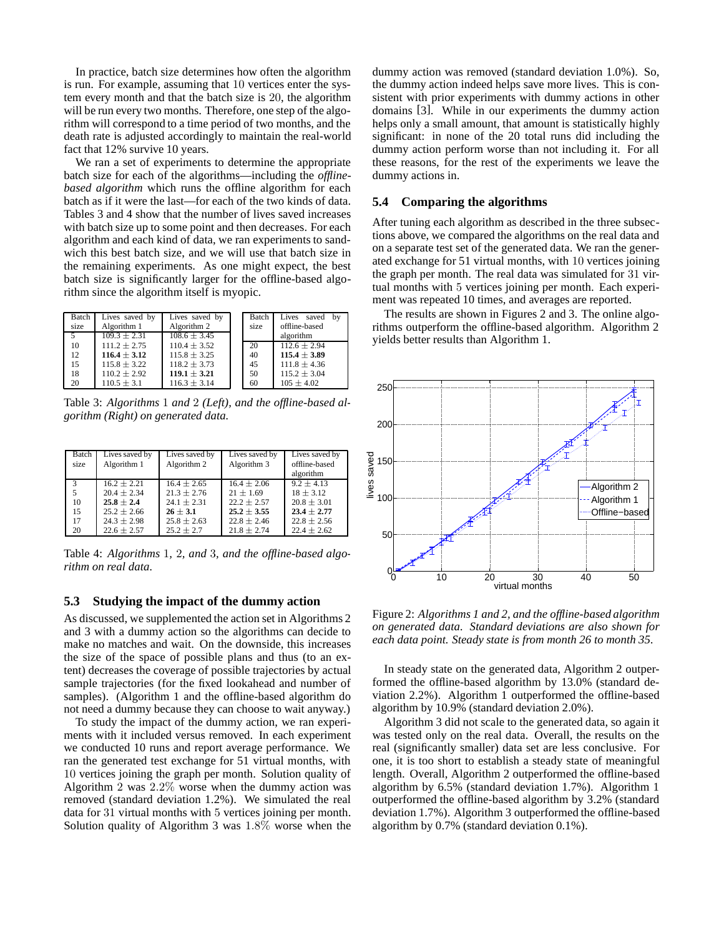In practice, batch size determines how often the algorithm is run. For example, assuming that 10 vertices enter the system every month and that the batch size is 20, the algorithm will be run every two months. Therefore, one step of the algorithm will correspond to a time period of two months, and the death rate is adjusted accordingly to maintain the real-world fact that 12% survive 10 years.

We ran a set of experiments to determine the appropriate batch size for each of the algorithms—including the *offlinebased algorithm* which runs the offline algorithm for each batch as if it were the last—for each of the two kinds of data. Tables 3 and 4 show that the number of lives saved increases with batch size up to some point and then decreases. For each algorithm and each kind of data, we ran experiments to sandwich this best batch size, and we will use that batch size in the remaining experiments. As one might expect, the best batch size is significantly larger for the offline-based algorithm since the algorithm itself is myopic.

| Batch          | Lives saved by   | Lives saved by   | Batch | Lives saved<br>by |
|----------------|------------------|------------------|-------|-------------------|
| size           | Algorithm 1      | Algorithm 2      | size  | offline-based     |
| 5 <sup>5</sup> | $109.3 \pm 2.31$ | $108.6 \pm 3.45$ |       | algorithm         |
| 10             | $111.2 \pm 2.75$ | $110.4 \pm 3.52$ | 20    | $112.6 + 2.94$    |
| 12             | $116.4 \pm 3.12$ | $115.8 \pm 3.25$ | 40    | $115.4 \pm 3.89$  |
| 15             | $115.8 \pm 3.22$ | $118.2 \pm 3.73$ | 45    | $111.8 \pm 4.36$  |
| 18             | $110.2 \pm 2.92$ | $119.1 \pm 3.21$ | 50    | $115.2 \pm 3.04$  |
| 20             | $110.5 \pm 3.1$  | $116.3 \pm 3.14$ | 60    | $105 \pm 4.02$    |

Table 3: *Algorithms* 1 *and* 2 *(Left), and the offline-based algorithm (Right) on generated data.*

| Batch | Lives saved by  | Lives saved by  | Lives saved by  | Lives saved by  |
|-------|-----------------|-----------------|-----------------|-----------------|
| size  | Algorithm 1     | Algorithm 2     | Algorithm 3     | offline-based   |
|       |                 |                 |                 | algorithm       |
| 3     | $16.2 + 2.21$   | $16.4 + 2.65$   | $16.4 + 2.06$   | $9.2 + 4.13$    |
| 5     | $20.4 + 2.34$   | $21.3 \pm 2.76$ | $21 \pm 1.69$   | $18 \pm 3.12$   |
| 10    | $25.8 + 2.4$    | $24.1 \pm 2.31$ | $22.2 + 2.57$   | $20.8 \pm 3.01$ |
| 15    | $25.2 \pm 2.66$ | $26 \pm 3.1$    | $25.2 \pm 3.55$ | $23.4 \pm 2.77$ |
| 17    | $24.3 \pm 2.98$ | $25.8 \pm 2.63$ | $22.8 \pm 2.46$ | $22.8 \pm 2.56$ |
| 20    | $22.6 \pm 2.57$ | $25.2 \pm 2.7$  | $21.8 \pm 2.74$ | $22.4 \pm 2.62$ |

Table 4: *Algorithms* 1*,* 2*, and* 3*, and the offline-based algorithm on real data.*

#### **5.3 Studying the impact of the dummy action**

As discussed, we supplemented the action set in Algorithms 2 and 3 with a dummy action so the algorithms can decide to make no matches and wait. On the downside, this increases the size of the space of possible plans and thus (to an extent) decreases the coverage of possible trajectories by actual sample trajectories (for the fixed lookahead and number of samples). (Algorithm 1 and the offline-based algorithm do not need a dummy because they can choose to wait anyway.)

To study the impact of the dummy action, we ran experiments with it included versus removed. In each experiment we conducted 10 runs and report average performance. We ran the generated test exchange for 51 virtual months, with 10 vertices joining the graph per month. Solution quality of Algorithm 2 was 2.2% worse when the dummy action was removed (standard deviation 1.2%). We simulated the real data for 31 virtual months with 5 vertices joining per month. Solution quality of Algorithm 3 was 1.8% worse when the dummy action was removed (standard deviation 1.0%). So, the dummy action indeed helps save more lives. This is consistent with prior experiments with dummy actions in other domains [3]. While in our experiments the dummy action helps only a small amount, that amount is statistically highly significant: in none of the 20 total runs did including the dummy action perform worse than not including it. For all these reasons, for the rest of the experiments we leave the dummy actions in.

### **5.4 Comparing the algorithms**

After tuning each algorithm as described in the three subsections above, we compared the algorithms on the real data and on a separate test set of the generated data. We ran the generated exchange for 51 virtual months, with 10 vertices joining the graph per month. The real data was simulated for 31 virtual months with 5 vertices joining per month. Each experiment was repeated 10 times, and averages are reported.

The results are shown in Figures 2 and 3. The online algorithms outperform the offline-based algorithm. Algorithm 2 yields better results than Algorithm 1.



Figure 2: *Algorithms 1 and 2, and the offline-based algorithm on generated data. Standard deviations are also shown for each data point. Steady state is from month 26 to month 35.*

In steady state on the generated data, Algorithm 2 outperformed the offline-based algorithm by 13.0% (standard deviation 2.2%). Algorithm 1 outperformed the offline-based algorithm by 10.9% (standard deviation 2.0%).

Algorithm 3 did not scale to the generated data, so again it was tested only on the real data. Overall, the results on the real (significantly smaller) data set are less conclusive. For one, it is too short to establish a steady state of meaningful length. Overall, Algorithm 2 outperformed the offline-based algorithm by 6.5% (standard deviation 1.7%). Algorithm 1 outperformed the offline-based algorithm by 3.2% (standard deviation 1.7%). Algorithm 3 outperformed the offline-based algorithm by 0.7% (standard deviation 0.1%).